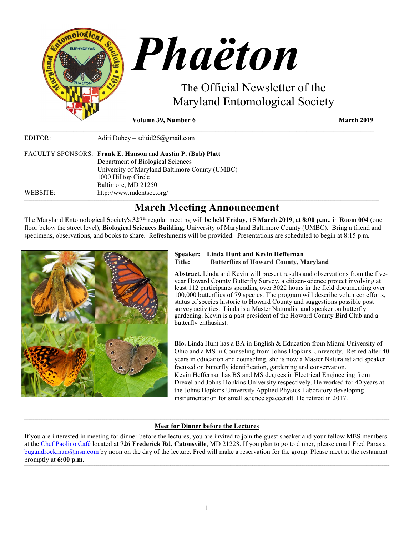

**Volume 39, Number 6 March 2019** 

| EDITOR:  | Aditi Dubey – aditid $26$ @gmail.com                        |
|----------|-------------------------------------------------------------|
|          | FACULTY SPONSORS: Frank E. Hanson and Austin P. (Bob) Platt |
|          | Department of Biological Sciences                           |
|          | University of Maryland Baltimore County (UMBC)              |
|          | 1000 Hilltop Circle                                         |
|          | Baltimore, MD 21250                                         |
| WEBSITE: | http://www.mdentsoc.org/                                    |

# **March Meeting Announcement**

\_\_\_\_\_\_\_\_\_\_\_\_\_\_\_\_\_\_\_\_\_\_\_\_\_\_\_\_\_\_\_\_\_\_\_\_\_\_\_\_\_\_\_\_\_\_\_\_\_\_\_\_\_\_\_\_\_\_\_\_\_\_\_\_\_\_\_\_\_\_\_\_\_\_\_\_\_\_\_\_\_\_\_\_\_\_\_\_\_\_\_\_\_\_\_\_\_\_\_

The **M**aryland **E**ntomological **S**ociety's **327th** regular meeting will be held **Friday, 15 March 2019**, at **8:00 p.m.**, in **Room 004** (one floor below the street level), **Biological Sciences Building**, University of Maryland Baltimore County (UMBC). Bring a friend and specimens, observations, and books to share. Refreshments will be provided. Presentations are scheduled to begin at 8:15 p.m.

 $\mathcal{L}_\text{max} = \mathcal{L}_\text{max} = \mathcal{L}_\text{max} = \mathcal{L}_\text{max} = \mathcal{L}_\text{max} = \mathcal{L}_\text{max} = \mathcal{L}_\text{max} = \mathcal{L}_\text{max} = \mathcal{L}_\text{max} = \mathcal{L}_\text{max} = \mathcal{L}_\text{max} = \mathcal{L}_\text{max} = \mathcal{L}_\text{max} = \mathcal{L}_\text{max} = \mathcal{L}_\text{max} = \mathcal{L}_\text{max} = \mathcal{L}_\text{max} = \mathcal{L}_\text{max} = \mathcal{$ 



# **Speaker: Linda Hunt and Kevin Heffernan Butterflies of Howard County, Maryland**

**Abstract.** Linda and Kevin will present results and observations from the fiveyear Howard County Butterfly Survey, a citizen-science project involving at least 112 participants spending over 3022 hours in the field documenting over 100,000 butterflies of 79 species. The program will describe volunteer efforts, status of species historic to Howard County and suggestions possible post survey activities. Linda is a Master Naturalist and speaker on butterfly gardening. Kevin is a past president of the Howard County Bird Club and a butterfly enthusiast.

**Bio.** Linda Hunt has a BA in English & Education from Miami University of Ohio and a MS in Counseling from Johns Hopkins University. Retired after 40 years in education and counseling, she is now a Master Naturalist and speaker focused on butterfly identification, gardening and conservation. Kevin Heffernan has BS and MS degrees in Electrical Engineering from Drexel and Johns Hopkins University respectively. He worked for 40 years at the Johns Hopkins University Applied Physics Laboratory developing instrumentation for small science spacecraft. He retired in 2017.

#### **\_\_\_\_\_\_\_\_\_\_\_\_\_\_\_\_\_\_\_\_\_\_\_\_\_\_\_\_\_\_\_\_\_\_\_\_\_\_\_\_\_\_\_\_\_\_\_\_\_\_\_\_\_\_\_\_\_\_\_\_\_\_\_\_\_\_\_\_\_\_\_\_\_\_\_\_\_\_\_\_\_\_\_\_\_\_\_\_\_\_\_\_\_\_\_\_\_\_\_\_\_\_\_\_\_\_\_\_\_\_\_\_\_\_\_\_\_\_\_\_\_\_\_\_\_\_\_\_\_\_\_\_\_\_\_\_\_\_\_\_\_\_\_\_\_\_\_\_\_\_\_\_\_\_\_\_\_\_\_\_\_\_\_\_\_\_\_\_\_\_\_\_\_\_\_\_\_\_\_\_\_\_\_\_\_\_\_\_\_\_\_\_\_\_\_\_\_\_\_\_\_\_\_\_\_\_\_\_\_\_\_\_\_\_\_\_\_\_\_\_\_\_\_\_\_\_\_\_\_\_\_\_\_\_\_\_\_\_\_\_\_\_\_\_\_\_\_\_\_\_\_\_\_\_\_\_\_\_\_\_\_\_\_\_\_\_\_\_\_\_\_\_\_\_\_\_\_\_\_\_\_\_\_\_\_\_\_\_\_\_\_\_\_\_\_\_\_\_\_\_\_\_\_\_\_\_\_\_\_\_\_\_\_\_\_\_\_\_\_\_\_\_\_\_\_\_\_\_\_\_\_\_\_\_\_\_\_\_\_\_\_\_\_\_\_\_\_\_\_\_\_\_\_\_\_\_\_\_\_\_ Meet for Dinner before the Lectures**

If you are interested in meeting for dinner before the lectures, you are invited to join the guest speaker and your fellow MES members at the [Chef Paolino Café](https://www.google.com/maps/place/Chef+Paolino+Cafe/@39.2727924,-76.7320191,15z/data=!4m5!3m4!1s0x0:0x5b7140dd2ad4f543!8m2!3d39.2727924!4d-76.7320191) located at **726 Frederick Rd, Catonsville**, MD 21228. If you plan to go to dinner, please email Fred Paras at bugandrockman@msn.com by noon on the day of the lecture. Fred will make a reservation for the group. Please meet at the restaurant promptly at **6:00 p.m**. **\_\_\_\_\_\_\_\_\_\_\_\_\_\_\_\_\_\_\_\_\_\_\_\_\_\_\_\_\_\_\_\_\_\_\_\_\_\_\_\_\_\_\_\_\_\_\_\_\_\_\_\_\_\_\_\_\_\_\_\_\_\_\_\_\_\_\_\_\_\_\_\_\_\_\_\_\_\_\_\_\_\_\_\_\_\_\_\_\_\_\_\_\_\_\_\_\_\_\_\_\_\_\_\_\_\_\_\_\_\_\_\_\_\_\_\_\_\_\_\_\_\_\_\_\_\_\_\_\_\_\_\_\_\_\_\_\_\_\_\_\_\_\_\_\_\_\_\_\_\_\_\_\_\_\_\_\_\_\_\_\_\_\_\_\_\_\_\_\_\_\_\_\_\_\_\_\_\_\_\_\_\_\_\_\_\_\_\_\_\_\_\_\_\_\_\_\_\_\_\_\_\_\_\_\_\_\_\_\_\_\_\_\_\_\_\_\_\_\_\_\_\_\_\_\_\_\_\_\_\_\_\_\_\_\_\_\_\_\_\_\_\_\_\_\_\_\_\_\_\_\_\_\_\_\_\_\_\_\_\_\_\_\_\_\_\_\_\_\_\_\_\_\_\_\_\_\_\_\_\_\_\_\_\_\_\_\_\_\_\_\_\_\_\_\_\_\_\_\_\_\_\_\_\_\_\_\_\_\_\_\_\_\_\_\_\_\_\_\_\_\_\_\_\_\_\_\_\_\_\_\_\_\_\_\_\_\_\_\_\_\_\_\_\_\_\_\_\_\_\_\_\_\_\_\_\_\_\_\_\_**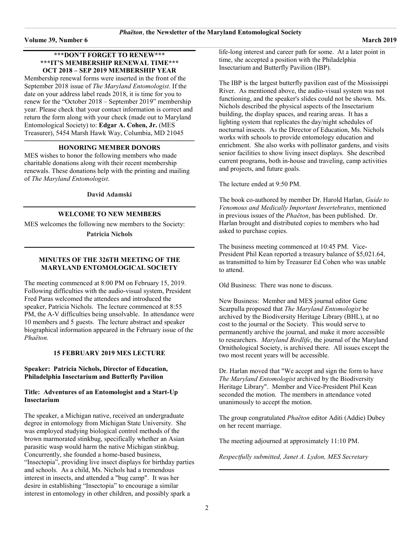#### **\*\*\*DON'T FORGET TO RENEW\*\*\* \*\*\*IT'S MEMBERSHIP RENEWAL TIME\*\*\* OCT 2018 – SEP 2019 MEMBERSHIP YEAR**

Membership renewal forms were inserted in the front of the September 2018 issue of *The Maryland Entomologist*. If the date on your address label reads 2018, it is time for you to renew for the "October 2018 – September 2019" membership year. Please check that your contact information is correct and return the form along with your check (made out to Maryland Entomological Society) to: **Edgar A. Cohen, Jr.** (MES Treasurer), 5454 Marsh Hawk Way, Columbia, MD 21045

#### **\_\_\_\_\_\_\_\_\_\_\_\_\_\_\_\_\_\_\_\_\_\_\_\_\_\_\_\_\_\_\_\_\_\_\_\_\_\_\_\_\_\_\_\_\_\_\_\_\_\_\_\_\_\_\_\_\_\_\_\_\_\_\_\_\_\_\_\_\_\_\_\_\_\_\_\_\_\_\_\_\_\_\_\_\_\_\_\_\_\_\_\_\_\_\_\_\_\_\_\_\_\_\_\_\_\_\_\_\_\_\_\_\_\_\_\_\_\_\_\_\_\_\_\_\_\_\_\_\_\_\_\_\_\_\_\_\_\_\_\_\_\_\_\_\_\_\_\_\_\_\_\_\_\_\_\_\_\_\_\_\_\_\_\_\_\_\_\_ HONORING MEMBER DONORS**

MES wishes to honor the following members who made charitable donations along with their recent membership renewals. These donations help with the printing and mailing of *The Maryland Entomologist*.

**David Adamski**

#### **WELCOME TO NEW MEMBERS**

MES welcomes the following new members to the Society:

**Patricia Nichols \_\_\_\_\_\_\_\_\_\_\_\_\_\_\_\_\_\_\_\_\_\_\_\_\_\_\_\_\_\_\_\_\_\_\_\_\_\_\_\_\_\_\_\_\_\_\_\_\_\_\_\_\_\_\_\_\_\_\_\_\_\_\_\_\_\_\_\_\_\_\_\_\_\_\_\_\_\_\_\_\_\_\_\_\_\_\_\_\_\_\_\_\_\_\_\_\_\_\_\_\_\_\_\_\_\_\_\_\_\_\_\_\_\_\_\_\_\_\_\_\_\_\_\_\_\_\_\_\_\_\_\_\_\_\_\_\_\_\_\_\_\_\_\_\_\_\_\_\_\_\_\_\_\_\_\_\_\_\_\_\_\_\_\_\_\_\_\_**

### **MINUTES OF THE 326TH MEETING OF THE MARYLAND ENTOMOLOGICAL SOCIETY**

The meeting commenced at 8:00 PM on February 15, 2019. Following difficulties with the audio-visual system, President Fred Paras welcomed the attendees and introduced the speaker, Patricia Nichols. The lecture commenced at 8:55 PM, the A-V difficulties being unsolvable. In attendance were 10 members and 5 guests. The lecture abstract and speaker biographical information appeared in the February issue of the *Phaëton.* 

#### **15 FEBRUARY 2019 MES LECTURE**

#### **Speaker: Patricia Nichols, Director of Education, Philadelphia Insectarium and Butterfly Pavilion**

#### **Title: Adventures of an Entomologist and a Start-Up Insectarium**

The speaker, a Michigan native, received an undergraduate degree in entomology from Michigan State University. She was employed studying biological control methods of the brown marmorated stinkbug, specifically whether an Asian parasitic wasp would harm the native Michigan stinkbug. Concurrently, she founded a home-based business, "Insectopia", providing live insect displays for birthday parties and schools. As a child, Ms. Nichols had a tremendous interest in insects, and attended a "bug camp". It was her desire in establishing "Insectopia" to encourage a similar interest in entomology in other children, and possibly spark a

life-long interest and career path for some. At a later point in time, she accepted a position with the Philadelphia Insectarium and Butterfly Pavilion (IBP).

The IBP is the largest butterfly pavilion east of the Mississippi River. As mentioned above, the audio-visual system was not functioning, and the speaker's slides could not be shown. Ms. Nichols described the physical aspects of the Insectarium building, the display spaces, and rearing areas. It has a lighting system that replicates the day/night schedules of nocturnal insects. As the Director of Education, Ms. Nichols works with schools to provide entomology education and enrichment. She also works with pollinator gardens, and visits senior facilities to show living insect displays. She described current programs, both in-house and traveling, camp activities and projects, and future goals.

The lecture ended at 9:50 PM.

The book co-authored by member Dr. Harold Harlan, *Guide to Venomous and Medically Important Invertebrates*, mentioned in previous issues of the *Phaëton*, has been published. Dr. Harlan brought and distributed copies to members who had asked to purchase copies.

The business meeting commenced at 10:45 PM. Vice-President Phil Kean reported a treasury balance of \$5,021.64, as transmitted to him by Treasurer Ed Cohen who was unable to attend.

Old Business: There was none to discuss.

New Business: Member and MES journal editor Gene Scarpulla proposed that *The Maryland Entomologist* be archived by the Biodiversity Heritage Library (BHL), at no cost to the journal or the Society. This would serve to permanently archive the journal, and make it more accessible to researchers. *Maryland Birdlife*, the journal of the Maryland Ornithological Society, is archived there. All issues except the two most recent years will be accessible.

Dr. Harlan moved that "We accept and sign the form to have *The Maryland Entomologist* archived by the Biodiversity Heritage Library". Member and Vice-President Phil Kean seconded the motion. The members in attendance voted unanimously to accept the motion.

The group congratulated *Phaëton* editor Aditi (Addie) Dubey on her recent marriage.

**\_\_\_\_\_\_\_\_\_\_\_\_\_\_\_\_\_\_\_\_\_\_\_\_\_\_\_\_\_\_\_\_\_\_\_\_\_\_\_\_\_\_\_\_\_\_\_\_\_\_\_\_\_\_\_\_\_\_\_\_\_\_\_\_\_\_\_\_\_\_\_\_\_\_\_\_\_\_\_\_\_\_\_\_\_\_\_\_\_\_\_\_\_\_\_\_\_\_\_\_\_\_\_\_\_\_\_\_\_\_\_\_\_\_\_\_\_\_\_\_\_\_\_\_\_\_\_\_\_\_\_\_\_\_\_\_\_\_\_\_\_\_\_\_\_\_\_\_\_\_\_\_\_\_\_\_\_\_\_\_\_\_\_\_\_\_\_\_**

The meeting adjourned at approximately 11:10 PM.

*Respectfully submitted, Janet A. Lydon, MES Secretary*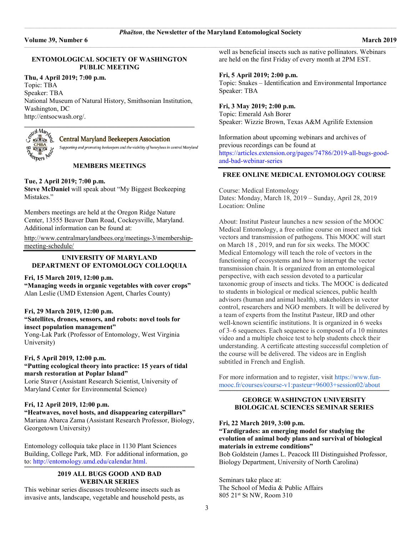**Volume 39, Number 6 March 2019**

#### **ENTOMOLOGICAL SOCIETY OF WASHINGTON PUBLIC MEETING**

#### **Thu, 4 April 2019; 7:00 p.m.**

Topic: TBA Speaker: TBA National Museum of Natural History, Smithsonian Institution, Washington, DC [http://entsocwash.org/.](http://entsocwash.org/)



#### **Central Maryland Beekeepers Association**

Supporting and promoting beekeepers and the viability of honeybees in central Maryland

#### **MEMBERS MEETINGS**

#### **Tue, 2 April 2019; 7:00 p.m.**

**Steve McDaniel** will speak about "My Biggest Beekeeping Mistakes."

Members meetings are held at the Oregon Ridge Nature Center, 13555 Beaver Dam Road, Cockeysville, Maryland. Additional information can be found at:

[http://www.centralmarylandbees.org/meetings-3/membership](http://www.centralmarylandbees.org/meetings-3/membership-meeting-schedule/)[meeting-schedule/](http://www.centralmarylandbees.org/meetings-3/membership-meeting-schedule/)

#### **UNIVERSITY OF MARYLAND DEPARTMENT OF ENTOMOLOGY COLLOQUIA**

**Fri, 15 March 2019, 12:00 p.m.**

**"Managing weeds in organic vegetables with cover crops"** Alan Leslie (UMD Extension Agent, Charles County)

#### **Fri, 29 March 2019, 12:00 p.m.**

#### **"Satellites, drones, sensors, and robots: novel tools for insect population management"**

Yong-Lak Park (Professor of Entomology, West Virginia University)

#### **Fri, 5 April 2019, 12:00 p.m.**

## **"Putting ecological theory into practice: 15 years of tidal marsh restoration at Poplar Island"**

Lorie Staver (Assistant Research Scientist, University of Maryland Center for Environmental Science)

#### **Fri, 12 April 2019, 12:00 p.m.**

**"Heatwaves, novel hosts, and disappearing caterpillars"** Mariana Abarca Zama (Assistant Research Professor, Biology, Georgetown University)

Entomology colloquia take place in 1130 Plant Sciences Building, College Park, MD. For additional information, go to: [http://entomology.umd.edu/calendar.html.](http://entomology.umd.edu/calendar.html)

#### **\_\_\_\_\_\_\_\_\_\_\_\_\_\_\_\_\_\_\_\_\_\_\_\_\_\_\_\_\_\_\_\_\_\_\_\_\_\_\_\_\_\_\_\_\_\_\_\_\_\_\_\_\_\_\_\_\_\_\_\_\_\_\_\_\_\_\_\_\_\_\_\_\_\_\_\_\_\_\_\_\_\_\_\_\_\_\_\_\_\_\_\_\_\_\_\_\_\_\_\_\_\_\_\_\_\_\_\_\_\_\_\_\_\_\_\_\_\_\_\_\_\_\_\_\_\_\_\_\_\_\_\_\_\_\_\_\_\_\_\_\_\_\_\_\_\_\_\_\_\_\_\_\_\_\_\_\_\_\_\_\_\_\_\_\_\_\_\_ 2019 ALL BUGS GOOD AND BAD WEBINAR SERIES**

This webinar series discusses troublesome insects such as invasive ants, landscape, vegetable and household pests, as well as beneficial insects such as native pollinators. Webinars are held on the first Friday of every month at 2PM EST.

#### **Fri, 5 April 2019; 2:00 p.m.**

Topic: Snakes – Identification and Environmental Importance Speaker: TBA

#### **Fri, 3 May 2019; 2:00 p.m.**

Topic: Emerald Ash Borer Speaker: Wizzie Brown, Texas A&M Agrilife Extension

Information about upcoming webinars and archives of previous recordings can be found at [https://articles.extension.org/pages/74786/2019-all-bugs-good](https://articles.extension.org/pages/74786/2019-all-bugs-good-and-bad-webinar-series)[and-bad-webinar-series](https://articles.extension.org/pages/74786/2019-all-bugs-good-and-bad-webinar-series)

#### **FREE ONLINE MEDICAL ENTOMOLOGY COURSE**

Course: Medical Entomology Dates: Monday, March 18, 2019 – Sunday, April 28, 2019 Location: Online

About: Institut Pasteur launches a new session of the MOOC Medical Entomology, a free online course on insect and tick vectors and transmission of pathogens. This MOOC will start on March 18 , 2019, and run for six weeks. The MOOC Medical Entomology will teach the role of vectors in the functioning of ecosystems and how to interrupt the vector transmission chain. It is organized from an entomological perspective, with each session devoted to a particular taxonomic group of insects and ticks. The MOOC is dedicated to students in biological or medical sciences, public health advisors (human and animal health), stakeholders in vector control, researchers and NGO members. It will be delivered by a team of experts from the Institut Pasteur, IRD and other well-known scientific institutions. It is organized in 6 weeks of 3–6 sequences. Each sequence is composed of a 10 minutes video and a multiple choice test to help students check their understanding. A certificate attesting successful completion of the course will be delivered. The videos are in English subtitled in French and English.

For more information and to register, visit [https://www.fun](https://www.fun-mooc.fr/courses/course-v1:pasteur+96003+session02/about)[mooc.fr/courses/course-v1:pasteur+96003+session02/about](https://www.fun-mooc.fr/courses/course-v1:pasteur+96003+session02/about) **\_\_\_\_\_\_\_\_\_\_\_\_\_\_\_\_\_\_\_\_\_\_\_\_\_\_\_\_\_\_\_\_\_\_\_\_\_\_\_\_\_\_\_\_\_\_\_\_\_\_\_\_\_\_\_\_\_\_\_\_\_\_\_\_\_\_\_\_\_\_\_\_\_\_\_\_\_\_\_\_\_\_\_\_\_\_\_\_\_\_\_\_\_\_\_\_\_\_\_\_\_\_\_\_\_\_\_\_\_\_\_\_\_\_\_\_\_\_\_\_\_\_\_\_\_\_\_\_\_\_\_\_\_\_\_\_\_\_\_\_\_\_\_\_\_\_\_\_\_\_\_\_\_\_\_\_\_\_\_\_\_\_\_\_\_\_\_\_**

### **GEORGE WASHINGTON UNIVERSITY BIOLOGICAL SCIENCES SEMINAR SERIES**

#### **Fri, 22 March 2019, 3:00 p.m.**

**"Tardigrades: an emerging model for studying the evolution of animal body plans and survival of biological materials in extreme conditions"**

Bob Goldstein (James L. Peacock III Distinguished Professor, Biology Department, University of North Carolina)

Seminars take place at: The School of Media & Public Affairs 805 21st St NW, Room 310